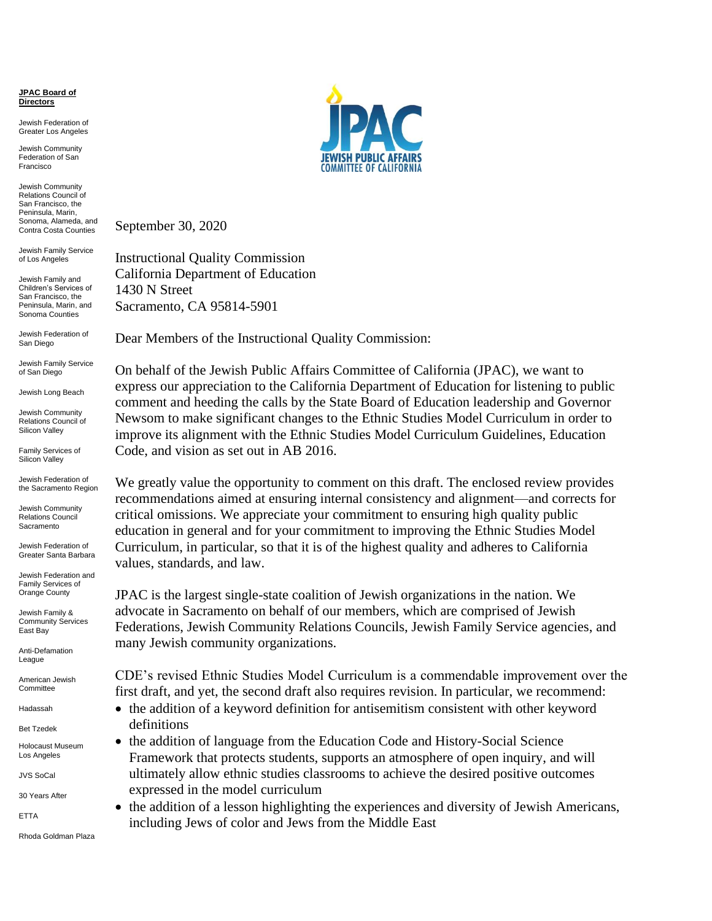**JPAC Board of Directors**

Jewish Federation of Greater Los Angeles

Jewish Community Federation of San Francisco

Jewish Community Relations Council of San Francisco, the Peninsula, Marin, Sonoma, Alameda, and Contra Costa Counties

Jewish Family Service of Los Angeles

Jewish Family and Children's Services of San Francisco, the Peninsula, Marin, and Sonoma Counties

Jewish Federation of San Diego

Jewish Family Service of San Diego

Jewish Long Beach

Jewish Community Relations Council of Silicon Valley

Family Services of Silicon Valley

Jewish Federation of the Sacramento Region

Jewish Community Relations Council **Sacramento** 

Jewish Federation of Greater Santa Barbara

Jewish Federation and Family Services of Orange County

Jewish Family & Community Services East Bay

Anti-Defamation League

American Jewish **Committee** 

Hadassah

Bet Tzedek

Holocaust Museum Los Angeles

JVS SoCal

30 Years After

ETTA

Rhoda Goldman Plaza



September 30, 2020

Instructional Quality Commission California Department of Education 1430 N Street Sacramento, CA 95814-5901

Dear Members of the Instructional Quality Commission:

On behalf of the Jewish Public Affairs Committee of California (JPAC), we want to express our appreciation to the California Department of Education for listening to public comment and heeding the calls by the State Board of Education leadership and Governor Newsom to make significant changes to the Ethnic Studies Model Curriculum in order to improve its alignment with the Ethnic Studies Model Curriculum Guidelines, Education Code, and vision as set out in AB 2016.

We greatly value the opportunity to comment on this draft. The enclosed review provides recommendations aimed at ensuring internal consistency and alignment—and corrects for critical omissions. We appreciate your commitment to ensuring high quality public education in general and for your commitment to improving the Ethnic Studies Model Curriculum, in particular, so that it is of the highest quality and adheres to California values, standards, and law.

JPAC is the largest single-state coalition of Jewish organizations in the nation. We advocate in Sacramento on behalf of our members, which are comprised of Jewish Federations, Jewish Community Relations Councils, Jewish Family Service agencies, and many Jewish community organizations.

CDE's revised Ethnic Studies Model Curriculum is a commendable improvement over the first draft, and yet, the second draft also requires revision. In particular, we recommend:

- the addition of a keyword definition for antisemitism consistent with other keyword definitions
- the addition of language from the Education Code and History-Social Science Framework that protects students, supports an atmosphere of open inquiry, and will ultimately allow ethnic studies classrooms to achieve the desired positive outcomes expressed in the model curriculum
- the addition of a lesson highlighting the experiences and diversity of Jewish Americans, including Jews of color and Jews from the Middle East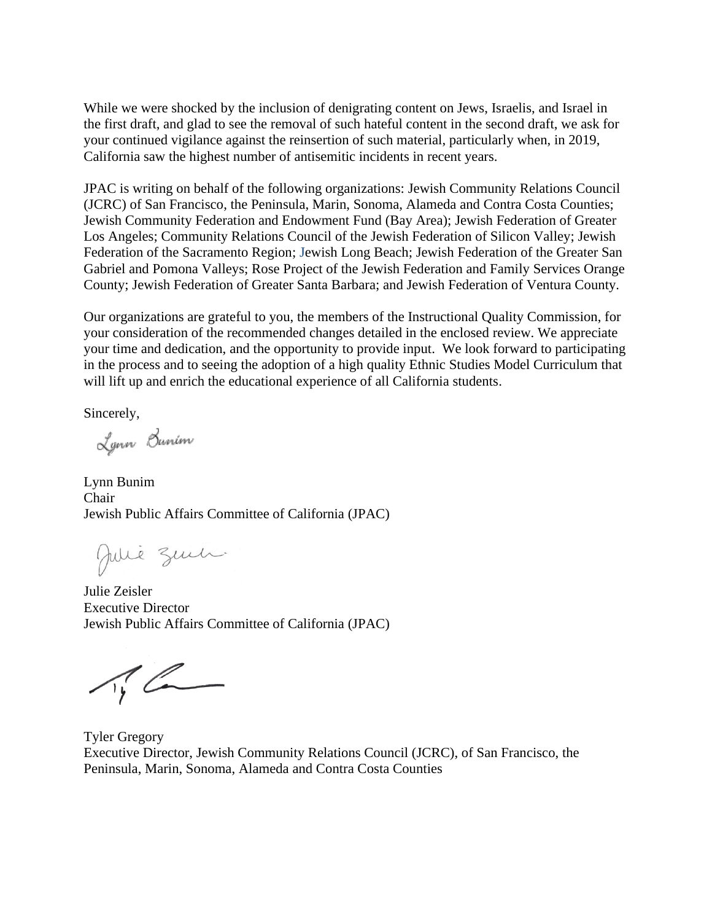While we were shocked by the inclusion of denigrating content on Jews, Israelis, and Israel in the first draft, and glad to see the removal of such hateful content in the second draft, we ask for your continued vigilance against the reinsertion of such material, particularly when, in 2019, California saw the highest number of antisemitic incidents in recent years.

JPAC is writing on behalf of the following organizations: Jewish Community Relations Council (JCRC) of San Francisco, the Peninsula, Marin, Sonoma, Alameda and Contra Costa Counties; Jewish Community Federation and Endowment Fund (Bay Area); Jewish Federation of Greater Los Angeles; Community Relations Council of the Jewish Federation of Silicon Valley; Jewish Federation of the Sacramento Region; Jewish Long Beach; Jewish Federation of the Greater San Gabriel and Pomona Valleys; Rose Project of the Jewish Federation and Family Services Orange County; Jewish Federation of Greater Santa Barbara; and Jewish Federation of Ventura County.

Our organizations are grateful to you, the members of the Instructional Quality Commission, for your consideration of the recommended changes detailed in the enclosed review. We appreciate your time and dedication, and the opportunity to provide input. We look forward to participating in the process and to seeing the adoption of a high quality Ethnic Studies Model Curriculum that will lift up and enrich the educational experience of all California students.

Sincerely,

Lynn Bunim

Lynn Bunim Chair Jewish Public Affairs Committee of California (JPAC)

Julie Zent

Julie Zeisler Executive Director Jewish Public Affairs Committee of California (JPAC)

 $\pi_{1}^{\prime}$ 

Tyler Gregory Executive Director, Jewish Community Relations Council (JCRC), of San Francisco, the Peninsula, Marin, Sonoma, Alameda and Contra Costa Counties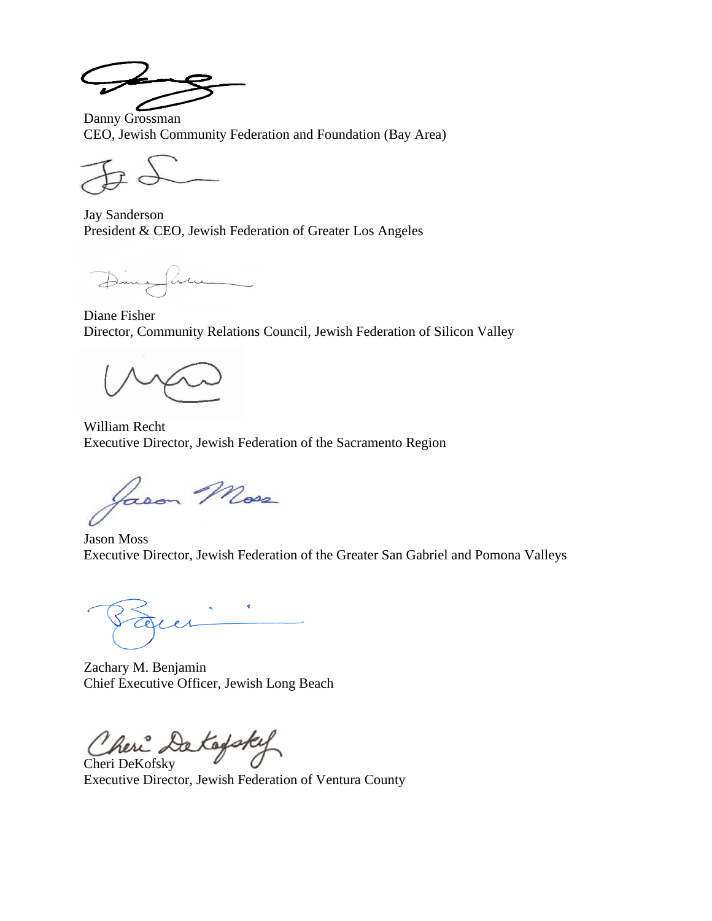Danny Grossman CEO, Jewish Community Federation and Foundation (Bay Area)

Jay Sanderson President & CEO, Jewish Federation of Greater Los Angeles

DanySum

Diane Fisher Director, Community Relations Council, Jewish Federation of Silicon Valley

William Recht Executive Director, Jewish Federation of the Sacramento Region

Jason Moss

Jason Moss Executive Director, Jewish Federation of the Greater San Gabriel and Pomona Valleys

Zachary M. Benjamin Chief Executive Officer, Jewish Long Beach

Cheri DeKofsky

Executive Director, Jewish Federation of Ventura County